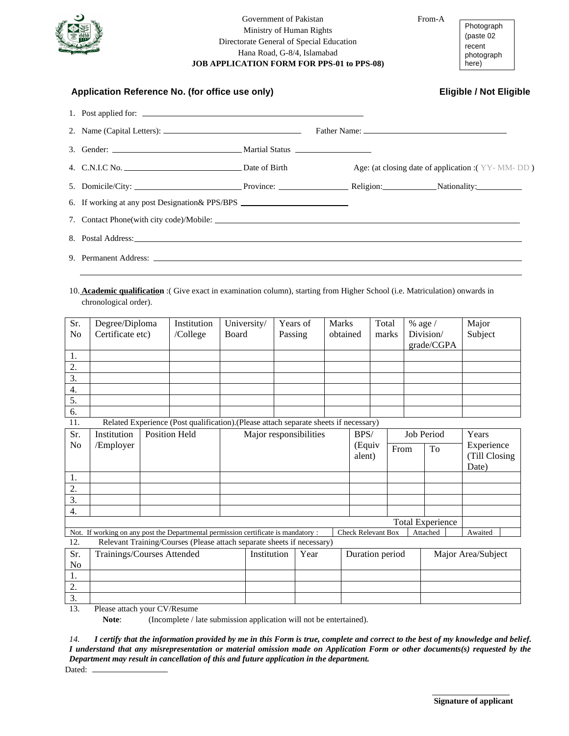

## Government of Pakistan From-A Ministry of Human Rights Directorate General of Special Education Hana Road, G-8/4, Islamabad **JOB APPLICATION FORM FOR PPS-01 to PPS-08)**

Photograph (paste 02 recent photograph here)

| Application Reference No. (for office use only)                                                                                                                                                                                | <b>Eligible / Not Eligible</b> |                                                   |  |  |  |
|--------------------------------------------------------------------------------------------------------------------------------------------------------------------------------------------------------------------------------|--------------------------------|---------------------------------------------------|--|--|--|
|                                                                                                                                                                                                                                |                                |                                                   |  |  |  |
|                                                                                                                                                                                                                                |                                |                                                   |  |  |  |
|                                                                                                                                                                                                                                |                                |                                                   |  |  |  |
|                                                                                                                                                                                                                                |                                | Age: (at closing date of application : (YY-MM-DD) |  |  |  |
|                                                                                                                                                                                                                                |                                |                                                   |  |  |  |
| 6. If working at any post Designation & PPS/BPS ________________________________                                                                                                                                               |                                |                                                   |  |  |  |
|                                                                                                                                                                                                                                |                                |                                                   |  |  |  |
| 8. Postal Address: No. 2014. The same state of the state of the state of the state of the state of the state of the state of the state of the state of the state of the state of the state of the state of the state of the st |                                |                                                   |  |  |  |
|                                                                                                                                                                                                                                |                                |                                                   |  |  |  |

10. **Academic qualification** :( Give exact in examination column), starting from Higher School (i.e. Matriculation) onwards in chronological order).

| Sr.              | Degree/Diploma                                                                                                                         |  | Institution          | University/  |                        | Years of |  | <b>Marks</b>    |                | Total |            | % age /            |            | Major         |
|------------------|----------------------------------------------------------------------------------------------------------------------------------------|--|----------------------|--------------|------------------------|----------|--|-----------------|----------------|-------|------------|--------------------|------------|---------------|
| N <sub>o</sub>   | Certificate etc)                                                                                                                       |  | /College             | <b>Board</b> |                        | Passing  |  | obtained        |                | marks |            | Division/          |            | Subject       |
|                  |                                                                                                                                        |  |                      |              |                        |          |  |                 |                |       |            | grade/CGPA         |            |               |
| 1.               |                                                                                                                                        |  |                      |              |                        |          |  |                 |                |       |            |                    |            |               |
| 2.               |                                                                                                                                        |  |                      |              |                        |          |  |                 |                |       |            |                    |            |               |
| 3.               |                                                                                                                                        |  |                      |              |                        |          |  |                 |                |       |            |                    |            |               |
| 4.               |                                                                                                                                        |  |                      |              |                        |          |  |                 |                |       |            |                    |            |               |
| 5.               |                                                                                                                                        |  |                      |              |                        |          |  |                 |                |       |            |                    |            |               |
| 6.               |                                                                                                                                        |  |                      |              |                        |          |  |                 |                |       |            |                    |            |               |
| 11.              | Related Experience (Post qualification).(Please attach separate sheets if necessary)                                                   |  |                      |              |                        |          |  |                 |                |       |            |                    |            |               |
| Sr.              | Institution                                                                                                                            |  | <b>Position Held</b> |              | Major responsibilities |          |  |                 | BPS/           |       | Job Period |                    | Years      |               |
| No               | /Employer                                                                                                                              |  |                      |              |                        |          |  |                 | (Equiv<br>From |       |            | To                 | Experience |               |
|                  |                                                                                                                                        |  |                      |              |                        |          |  |                 | alent)         |       |            |                    |            | (Till Closing |
|                  |                                                                                                                                        |  |                      |              |                        |          |  |                 |                |       |            |                    |            | Date)         |
| 1.               |                                                                                                                                        |  |                      |              |                        |          |  |                 |                |       |            |                    |            |               |
| $\overline{2}$ . |                                                                                                                                        |  |                      |              |                        |          |  |                 |                |       |            |                    |            |               |
| 3.               |                                                                                                                                        |  |                      |              |                        |          |  |                 |                |       |            |                    |            |               |
| 4.               |                                                                                                                                        |  |                      |              |                        |          |  |                 |                |       |            |                    |            |               |
|                  | <b>Total Experience</b>                                                                                                                |  |                      |              |                        |          |  |                 |                |       |            |                    |            |               |
|                  | Not. If working on any post the Departmental permission certificate is mandatory :<br><b>Check Relevant Box</b><br>Attached<br>Awaited |  |                      |              |                        |          |  |                 |                |       |            |                    |            |               |
| 12.              | Relevant Training/Courses (Please attach separate sheets if necessary)                                                                 |  |                      |              |                        |          |  |                 |                |       |            |                    |            |               |
| Sr.              | Trainings/Courses Attended                                                                                                             |  |                      |              | Year<br>Institution    |          |  | Duration period |                |       |            | Major Area/Subject |            |               |
| No               |                                                                                                                                        |  |                      |              |                        |          |  |                 |                |       |            |                    |            |               |
| 1.               |                                                                                                                                        |  |                      |              |                        |          |  |                 |                |       |            |                    |            |               |
| $\overline{2}$ . |                                                                                                                                        |  |                      |              |                        |          |  |                 |                |       |            |                    |            |               |
| $\overline{3}$ . |                                                                                                                                        |  |                      |              |                        |          |  |                 |                |       |            |                    |            |               |

13. Please attach your CV/Resume

**Note:** (Incomplete / late submission application will not be entertained).

*14.**I certify that the information provided by me in this Form is true, complete and correct to the best of my knowledge and belief. I understand that any misrepresentation or material omission made on Application Form or other documents(s) requested by the Department may result in cancellation of this and future application in the department.*

Dated: .